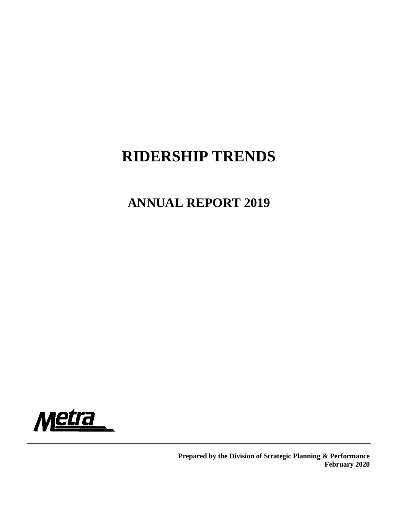# **RIDERSHIP TRENDS**

## **ANNUAL REPORT 2019**



**Prepared by the Division of Strategic Planning & Performance February 2020**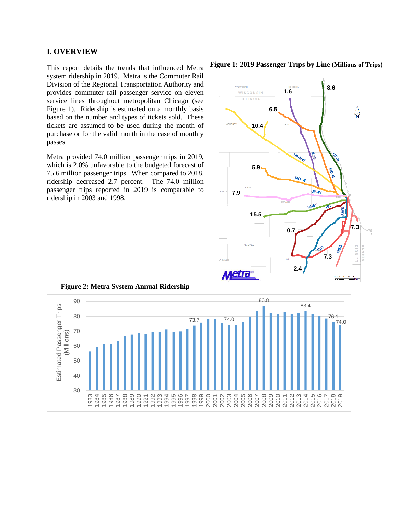#### **I. OVERVIEW**

This report details the trends that influenced Metra system ridership in 2019. Metra is the Commuter Rail Division of the Regional Transportation Authority and provides commuter rail passenger service on eleven service lines throughout metropolitan Chicago (see Figure 1). Ridership is estimated on a monthly basis based on the number and types of tickets sold. These tickets are assumed to be used during the month of purchase or for the valid month in the case of monthly passes.

Metra provided 74.0 million passenger trips in 2019, which is 2.0% unfavorable to the budgeted forecast of 75.6 million passenger trips. When compared to 2018, ridership decreased 2.7 percent. The 74.0 million passenger trips reported in 2019 is comparable to ridership in 2003 and 1998.

**Figure 1: 2019 Passenger Trips by Line (Millions of Trips)**





**Figure 2: Metra System Annual Ridership**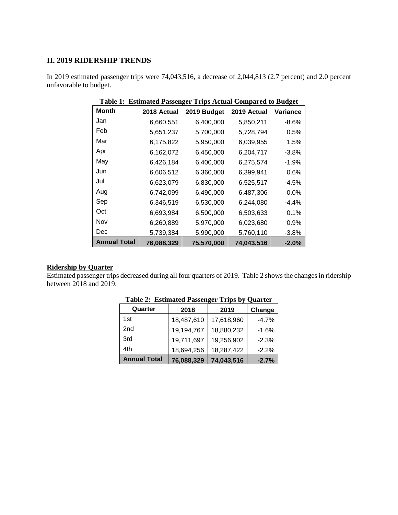## **II. 2019 RIDERSHIP TRENDS**

In 2019 estimated passenger trips were 74,043,516, a decrease of 2,044,813 (2.7 percent) and 2.0 percent unfavorable to budget.

| Month               | 2018 Actual | 2019 Budget | 2019 Actual | Variance |
|---------------------|-------------|-------------|-------------|----------|
| Jan                 | 6,660,551   | 6,400,000   | 5,850,211   | $-8.6%$  |
| Feb                 | 5,651,237   | 5,700,000   | 5,728,794   | 0.5%     |
| Mar                 | 6,175,822   | 5,950,000   | 6,039,955   | 1.5%     |
| Apr                 | 6,162,072   | 6,450,000   | 6,204,717   | $-3.8%$  |
| May                 | 6,426,184   | 6,400,000   | 6,275,574   | $-1.9%$  |
| Jun                 | 6,606,512   | 6,360,000   | 6,399,941   | 0.6%     |
| Jul                 | 6,623,079   | 6,830,000   | 6,525,517   | $-4.5%$  |
| Aug                 | 6,742,099   | 6,490,000   | 6,487,306   | 0.0%     |
| Sep                 | 6,346,519   | 6,530,000   | 6,244,080   | $-4.4%$  |
| Oct                 | 6,693,984   | 6,500,000   | 6,503,633   | 0.1%     |
| Nov                 | 6,260,889   | 5,970,000   | 6,023,680   | 0.9%     |
| Dec                 | 5,739,384   | 5,990,000   | 5,760,110   | $-3.8%$  |
| <b>Annual Total</b> | 76,088,329  | 75,570,000  | 74,043,516  | $-2.0%$  |

**Table 1: Estimated Passenger Trips Actual Compared to Budget**

## **Ridership by Quarter**

Estimated passenger trips decreased during all four quarters of 2019. Table 2 shows the changes in ridership between 2018 and 2019.

|                     |            | -          |         |
|---------------------|------------|------------|---------|
| Quarter             | 2018       | 2019       | Change  |
| 1st                 | 18,487,610 | 17,618,960 | $-4.7%$ |
| 2nd                 | 19,194,767 | 18,880,232 | $-1.6%$ |
| 3rd                 | 19,711,697 | 19,256,902 | $-2.3%$ |
| 4th                 | 18,694,256 | 18,287,422 | $-2.2%$ |
| <b>Annual Total</b> | 76,088,329 | 74,043,516 | $-2.7%$ |

**Table 2: Estimated Passenger Trips by Quarter**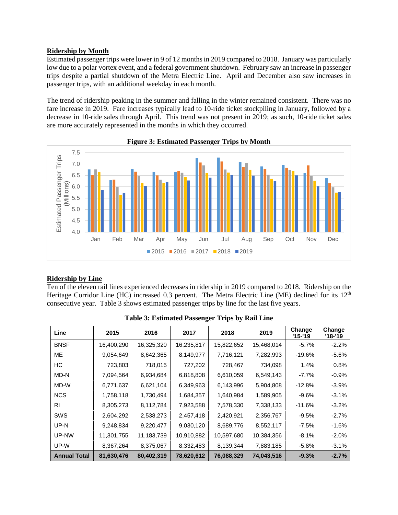## **Ridership by Month**

Estimated passenger trips were lower in 9 of 12 months in 2019 compared to 2018. January was particularly low due to a polar vortex event, and a federal government shutdown. February saw an increase in passenger trips despite a partial shutdown of the Metra Electric Line. April and December also saw increases in passenger trips, with an additional weekday in each month.

The trend of ridership peaking in the summer and falling in the winter remained consistent. There was no fare increase in 2019. Fare increases typically lead to 10-ride ticket stockpiling in January, followed by a decrease in 10-ride sales through April. This trend was not present in 2019; as such, 10-ride ticket sales are more accurately represented in the months in which they occurred.



**Figure 3: Estimated Passenger Trips by Month**

## **Ridership by Line**

Ten of the eleven rail lines experienced decreases in ridership in 2019 compared to 2018. Ridership on the Heritage Corridor Line (HC) increased 0.3 percent. The Metra Electric Line (ME) declined for its 12<sup>th</sup> consecutive year. Table 3 shows estimated passenger trips by line for the last five years.

| Line                | 2015       | 2016       | 2017       | 2018       | 2019       | Change<br>'15-'19 | Change<br>'18-'19 |
|---------------------|------------|------------|------------|------------|------------|-------------------|-------------------|
| <b>BNSF</b>         | 16,400,290 | 16,325,320 | 16,235,817 | 15,822,652 | 15,468,014 | $-5.7%$           | $-2.2%$           |
| <b>ME</b>           | 9,054,649  | 8,642,365  | 8,149,977  | 7,716,121  | 7,282,993  | $-19.6%$          | $-5.6%$           |
| HC                  | 723,803    | 718,015    | 727,202    | 728,467    | 734,098    | 1.4%              | 0.8%              |
| MD-N                | 7,094,564  | 6,934,684  | 6,818,808  | 6,610,059  | 6,549,143  | -7.7%             | $-0.9%$           |
| MD-W                | 6,771,637  | 6,621,104  | 6,349,963  | 6,143,996  | 5,904,808  | $-12.8%$          | $-3.9%$           |
| <b>NCS</b>          | 1,758,118  | 1,730,494  | 1,684,357  | 1,640,984  | 1,589,905  | $-9.6%$           | $-3.1%$           |
| R <sub>1</sub>      | 8,305,273  | 8,112,784  | 7,923,588  | 7,578,330  | 7,338,133  | $-11.6%$          | $-3.2%$           |
| <b>SWS</b>          | 2,604,292  | 2,538,273  | 2,457,418  | 2,420,921  | 2,356,767  | $-9.5%$           | $-2.7%$           |
| UP-N                | 9,248,834  | 9,220,477  | 9,030,120  | 8,689,776  | 8,552,117  | $-7.5%$           | $-1.6%$           |
| UP-NW               | 11,301,755 | 11,183,739 | 10,910,882 | 10,597,680 | 10,384,356 | $-8.1%$           | $-2.0%$           |
| UP-W                | 8,367,264  | 8,375,067  | 8,332,483  | 8,139,344  | 7,883,185  | $-5.8%$           | $-3.1%$           |
| <b>Annual Total</b> | 81,630,476 | 80,402,319 | 78,620,612 | 76,088,329 | 74,043,516 | $-9.3%$           | $-2.7%$           |

**Table 3: Estimated Passenger Trips by Rail Line**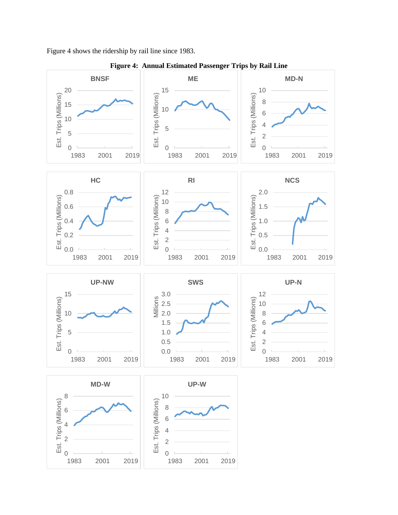Figure 4 shows the ridership by rail line since 1983.



**Figure 4: Annual Estimated Passenger Trips by Rail Line**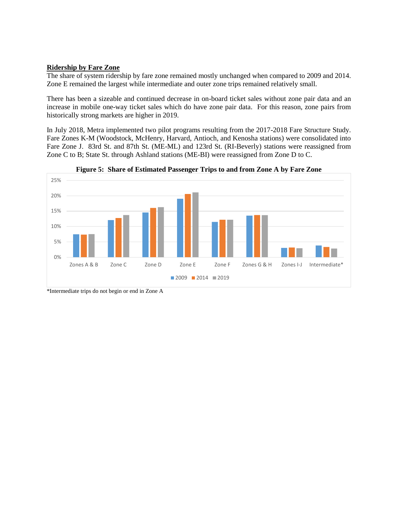#### **Ridership by Fare Zone**

The share of system ridership by fare zone remained mostly unchanged when compared to 2009 and 2014. Zone E remained the largest while intermediate and outer zone trips remained relatively small.

There has been a sizeable and continued decrease in on-board ticket sales without zone pair data and an increase in mobile one-way ticket sales which do have zone pair data. For this reason, zone pairs from historically strong markets are higher in 2019.

In July 2018, Metra implemented two pilot programs resulting from the 2017-2018 Fare Structure Study. Fare Zones K-M (Woodstock, McHenry, Harvard, Antioch, and Kenosha stations) were consolidated into Fare Zone J. 83rd St. and 87th St. (ME-ML) and 123rd St. (RI-Beverly) stations were reassigned from Zone C to B; State St. through Ashland stations (ME-BI) were reassigned from Zone D to C.





<sup>\*</sup>Intermediate trips do not begin or end in Zone A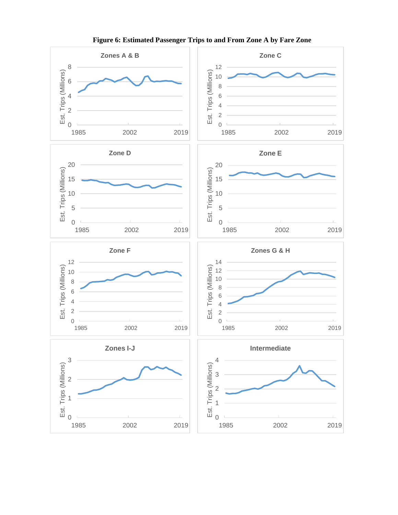

**Figure 6: Estimated Passenger Trips to and From Zone A by Fare Zone**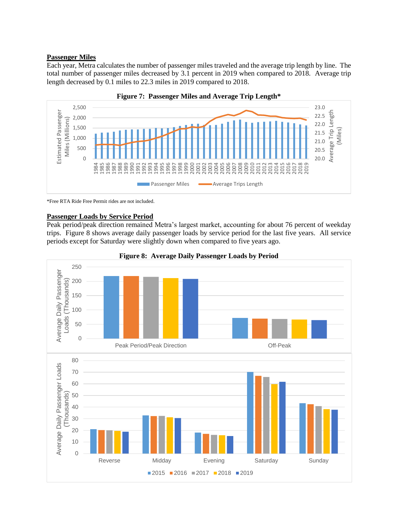## **Passenger Miles**

Each year, Metra calculates the number of passenger miles traveled and the average trip length by line. The total number of passenger miles decreased by 3.1 percent in 2019 when compared to 2018. Average trip length decreased by 0.1 miles to 22.3 miles in 2019 compared to 2018.





\*Free RTA Ride Free Permit rides are not included.

## **Passenger Loads by Service Period**

Peak period/peak direction remained Metra's largest market, accounting for about 76 percent of weekday trips. Figure 8 shows average daily passenger loads by service period for the last five years. All service periods except for Saturday were slightly down when compared to five years ago.



**Figure 8: Average Daily Passenger Loads by Period**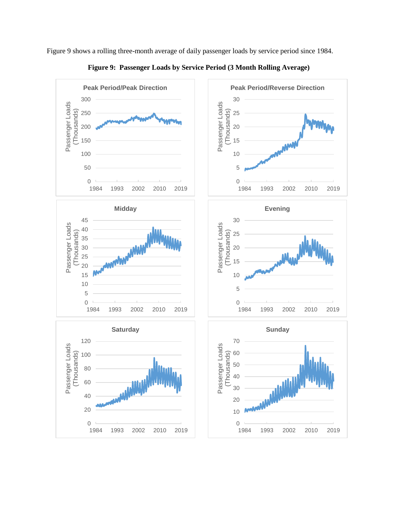

**Figure 9: Passenger Loads by Service Period (3 Month Rolling Average)**

Figure 9 shows a rolling three-month average of daily passenger loads by service period since 1984.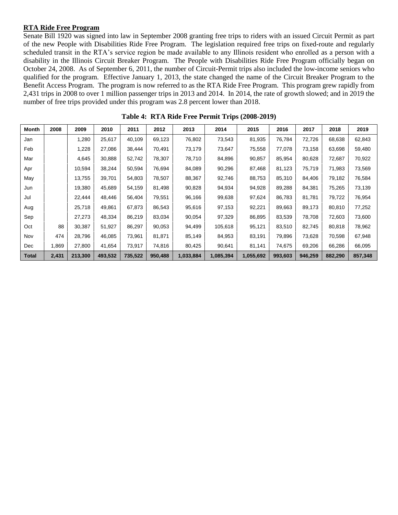#### **RTA Ride Free Program**

Senate Bill 1920 was signed into law in September 2008 granting free trips to riders with an issued Circuit Permit as part of the new People with Disabilities Ride Free Program. The legislation required free trips on fixed-route and regularly scheduled transit in the RTA's service region be made available to any Illinois resident who enrolled as a person with a disability in the Illinois Circuit Breaker Program. The People with Disabilities Ride Free Program officially began on October 24, 2008. As of September 6, 2011, the number of Circuit-Permit trips also included the low-income seniors who qualified for the program. Effective January 1, 2013, the state changed the name of the Circuit Breaker Program to the Benefit Access Program. The program is now referred to as the RTA Ride Free Program. This program grew rapidly from 2,431 trips in 2008 to over 1 million passenger trips in 2013 and 2014. In 2014, the rate of growth slowed; and in 2019 the number of free trips provided under this program was 2.8 percent lower than 2018.

| Month        | 2008  | 2009    | 2010    | 2011    | 2012    | 2013      | 2014      | 2015      | 2016    | 2017    | 2018    | 2019    |
|--------------|-------|---------|---------|---------|---------|-----------|-----------|-----------|---------|---------|---------|---------|
| Jan          |       | 1,280   | 25,617  | 40,109  | 69,123  | 76,802    | 73,543    | 81,935    | 76,784  | 72,726  | 68,638  | 62,843  |
| Feb          |       | 1,228   | 27,086  | 38,444  | 70,491  | 73,179    | 73,647    | 75,558    | 77,078  | 73,158  | 63,698  | 59,480  |
| Mar          |       | 4,645   | 30,888  | 52,742  | 78,307  | 78,710    | 84,896    | 90,857    | 85,954  | 80,628  | 72,687  | 70,922  |
| Apr          |       | 10,594  | 38,244  | 50,594  | 76,694  | 84,089    | 90,296    | 87,468    | 81,123  | 75,719  | 71,983  | 73,569  |
| May          |       | 13,755  | 39,701  | 54,803  | 78,507  | 88,367    | 92,746    | 88,753    | 85,310  | 84,406  | 79,182  | 76,584  |
| Jun          |       | 19,380  | 45,689  | 54,159  | 81,498  | 90,828    | 94,934    | 94,928    | 89,288  | 84,381  | 75,265  | 73,139  |
| Jul          |       | 22,444  | 48,446  | 56,404  | 79,551  | 96,166    | 99,638    | 97,624    | 86,783  | 81,781  | 79,722  | 76,954  |
| Aug          |       | 25,718  | 49,861  | 67,873  | 86,543  | 95,616    | 97,153    | 92,221    | 89,663  | 89,173  | 80,810  | 77,252  |
| Sep          |       | 27,273  | 48,334  | 86,219  | 83,034  | 90,054    | 97,329    | 86,895    | 83,539  | 78,708  | 72,603  | 73,600  |
| Oct          | 88    | 30,387  | 51,927  | 86,297  | 90,053  | 94,499    | 105,618   | 95,121    | 83,510  | 82,745  | 80,818  | 78,962  |
| Nov          | 474   | 28,796  | 46,085  | 73,961  | 81.871  | 85,149    | 84,953    | 83,191    | 79.896  | 73,628  | 70,598  | 67,948  |
| Dec          | 1,869 | 27,800  | 41,654  | 73,917  | 74,816  | 80,425    | 90,641    | 81,141    | 74,675  | 69,206  | 66,286  | 66,095  |
| <b>Total</b> | 2,431 | 213,300 | 493,532 | 735,522 | 950,488 | 1,033,884 | 1,085,394 | 1,055,692 | 993,603 | 946,259 | 882,290 | 857,348 |

**Table 4: RTA Ride Free Permit Trips (2008-2019)**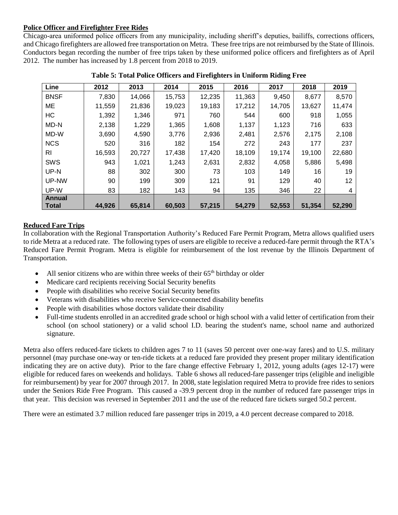## **Police Officer and Firefighter Free Rides**

Chicago-area uniformed police officers from any municipality, including sheriff's deputies, bailiffs, corrections officers, and Chicago firefighters are allowed free transportation on Metra. These free trips are not reimbursed by the State of Illinois. Conductors began recording the number of free trips taken by these uniformed police officers and firefighters as of April 2012. The number has increased by 1.8 percent from 2018 to 2019.

| Line                   | 2012   | 2013   | 2014   | 2015   | 2016   | 2017   | 2018   | 2019   |
|------------------------|--------|--------|--------|--------|--------|--------|--------|--------|
| <b>BNSF</b>            | 7,830  | 14,066 | 15,753 | 12,235 | 11,363 | 9,450  | 8,677  | 8,570  |
| ME                     | 11,559 | 21,836 | 19,023 | 19,183 | 17,212 | 14,705 | 13,627 | 11,474 |
| HC                     | 1,392  | 1,346  | 971    | 760    | 544    | 600    | 918    | 1,055  |
| MD-N                   | 2,138  | 1,229  | 1,365  | 1,608  | 1,137  | 1,123  | 716    | 633    |
| MD-W                   | 3,690  | 4,590  | 3,776  | 2,936  | 2,481  | 2,576  | 2,175  | 2,108  |
| <b>NCS</b>             | 520    | 316    | 182    | 154    | 272    | 243    | 177    | 237    |
| RI                     | 16,593 | 20,727 | 17,438 | 17,420 | 18,109 | 19,174 | 19,100 | 22,680 |
| SWS                    | 943    | 1,021  | 1,243  | 2,631  | 2,832  | 4,058  | 5,886  | 5,498  |
| UP-N                   | 88     | 302    | 300    | 73     | 103    | 149    | 16     | 19     |
| UP-NW                  | 90     | 199    | 309    | 121    | 91     | 129    | 40     | 12     |
| UP-W                   | 83     | 182    | 143    | 94     | 135    | 346    | 22     | 4      |
| Annual<br><b>Total</b> | 44,926 | 65,814 | 60,503 | 57,215 | 54,279 | 52,553 | 51,354 | 52,290 |

**Table 5: Total Police Officers and Firefighters in Uniform Riding Free**

## **Reduced Fare Trips**

In collaboration with the Regional Transportation Authority's Reduced Fare Permit Program, Metra allows qualified users to ride Metra at a reduced rate. The following types of users are eligible to receive a reduced-fare permit through the RTA's Reduced Fare Permit Program. Metra is eligible for reimbursement of the lost revenue by the Illinois Department of Transportation.

- All senior citizens who are within three weeks of their  $65<sup>th</sup>$  birthday or older
- Medicare card recipients receiving Social Security benefits
- People with disabilities who receive Social Security benefits
- Veterans with disabilities who receive Service-connected disability benefits
- People with disabilities whose doctors validate their disability
- Full-time students enrolled in an accredited grade school or high school with a valid letter of certification from their school (on school stationery) or a valid school I.D. bearing the student's name, school name and authorized signature.

Metra also offers reduced-fare tickets to children ages 7 to 11 (saves 50 percent over one-way fares) and to U.S. military personnel (may purchase one-way or ten-ride tickets at a reduced fare provided they present proper military identification indicating they are on active duty). Prior to the fare change effective February 1, 2012, young adults (ages 12-17) were eligible for reduced fares on weekends and holidays. Table 6 shows all reduced-fare passenger trips (eligible and ineligible for reimbursement) by year for 2007 through 2017. In 2008, state legislation required Metra to provide free rides to seniors under the Seniors Ride Free Program. This caused a -39.9 percent drop in the number of reduced fare passenger trips in that year. This decision was reversed in September 2011 and the use of the reduced fare tickets surged 50.2 percent.

There were an estimated 3.7 million reduced fare passenger trips in 2019, a 4.0 percent decrease compared to 2018.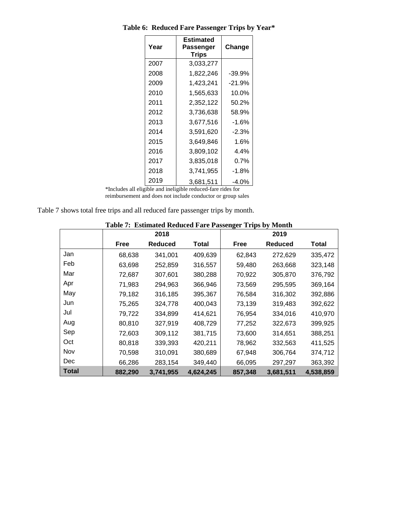| Year | Estimated<br>Passenger<br>Trips | Change   |
|------|---------------------------------|----------|
| 2007 | 3.033.277                       |          |
| 2008 | 1,822,246                       | $-39.9%$ |
| 2009 | 1,423,241                       | $-21.9%$ |
| 2010 | 1,565,633                       | 10.0%    |
| 2011 | 2,352,122                       | 50.2%    |
| 2012 | 3,736,638                       | 58.9%    |
| 2013 | 3.677.516                       | $-1.6%$  |
| 2014 | 3,591,620                       | $-2.3%$  |
| 2015 | 3,649,846                       | 1.6%     |
| 2016 | 3,809,102                       | $4.4\%$  |
| 2017 | 3.835.018                       | $0.7\%$  |
| 2018 | 3,741,955                       | $-1.8%$  |
| 2019 | 3,681,511                       | $-4.0%$  |

**Table 6: Reduced Fare Passenger Trips by Year\***

\*Includes all eligible and ineligible reduced-fare rides for reimbursement and does not include conductor or group sales

| Table 7 shows total free trips and all reduced fare passenger trips by month. |  |  |
|-------------------------------------------------------------------------------|--|--|
|                                                                               |  |  |

|              | Table 7: Estimated Reduced Fare Passenger Trips by Month |                |           |         |                |           |  |  |
|--------------|----------------------------------------------------------|----------------|-----------|---------|----------------|-----------|--|--|
|              |                                                          | 2018           |           |         | 2019           |           |  |  |
|              | Free                                                     | <b>Reduced</b> | Total     | Free    | <b>Reduced</b> | Total     |  |  |
| Jan          | 68,638                                                   | 341,001        | 409,639   | 62,843  | 272,629        | 335,472   |  |  |
| Feb          | 63,698                                                   | 252,859        | 316,557   | 59,480  | 263,668        | 323,148   |  |  |
| Mar          | 72,687                                                   | 307,601        | 380,288   | 70,922  | 305,870        | 376,792   |  |  |
| Apr          | 71,983                                                   | 294,963        | 366,946   | 73,569  | 295,595        | 369,164   |  |  |
| May          | 79,182                                                   | 316,185        | 395,367   | 76,584  | 316,302        | 392,886   |  |  |
| Jun          | 75,265                                                   | 324,778        | 400,043   | 73,139  | 319,483        | 392,622   |  |  |
| Jul          | 79,722                                                   | 334,899        | 414,621   | 76,954  | 334,016        | 410,970   |  |  |
| Aug          | 80,810                                                   | 327,919        | 408,729   | 77,252  | 322,673        | 399,925   |  |  |
| Sep          | 72,603                                                   | 309,112        | 381,715   | 73,600  | 314,651        | 388,251   |  |  |
| Oct          | 80,818                                                   | 339,393        | 420,211   | 78,962  | 332,563        | 411,525   |  |  |
| Nov          | 70,598                                                   | 310,091        | 380,689   | 67,948  | 306,764        | 374,712   |  |  |
| Dec          | 66,286                                                   | 283,154        | 349,440   | 66,095  | 297,297        | 363,392   |  |  |
| <b>Total</b> | 882,290                                                  | 3,741,955      | 4,624,245 | 857,348 | 3,681,511      | 4,538,859 |  |  |

## **Table 7: Estimated Reduced Fare Passenger Trips by Month**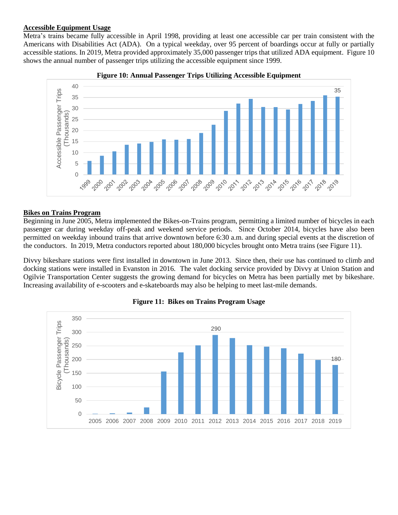#### **Accessible Equipment Usage**

Metra's trains became fully accessible in April 1998, providing at least one accessible car per train consistent with the Americans with Disabilities Act (ADA). On a typical weekday, over 95 percent of boardings occur at fully or partially accessible stations. In 2019, Metra provided approximately 35,000 passenger trips that utilized ADA equipment. Figure 10 shows the annual number of passenger trips utilizing the accessible equipment since 1999.





## **Bikes on Trains Program**

Beginning in June 2005, Metra implemented the Bikes-on-Trains program, permitting a limited number of bicycles in each passenger car during weekday off-peak and weekend service periods. Since October 2014, bicycles have also been permitted on weekday inbound trains that arrive downtown before 6:30 a.m. and during special events at the discretion of the conductors. In 2019, Metra conductors reported about 180,000 bicycles brought onto Metra trains (see Figure 11).

Divvy bikeshare stations were first installed in downtown in June 2013. Since then, their use has continued to climb and docking stations were installed in Evanston in 2016. The valet docking service provided by Divvy at Union Station and Ogilvie Transportation Center suggests the growing demand for bicycles on Metra has been partially met by bikeshare. Increasing availability of e-scooters and e-skateboards may also be helping to meet last-mile demands.



#### **Figure 11: Bikes on Trains Program Usage**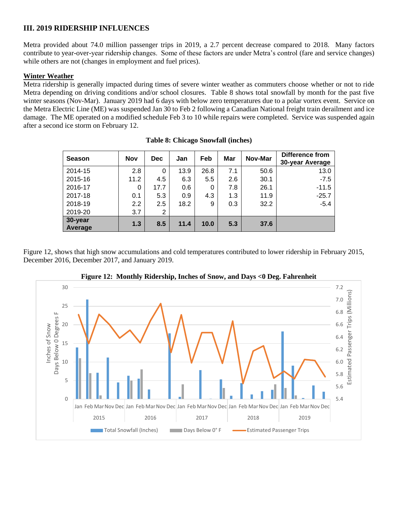## **III. 2019 RIDERSHIP INFLUENCES**

Metra provided about 74.0 million passenger trips in 2019, a 2.7 percent decrease compared to 2018. Many factors contribute to year-over-year ridership changes. Some of these factors are under Metra's control (fare and service changes) while others are not (changes in employment and fuel prices).

## **Winter Weather**

Metra ridership is generally impacted during times of severe winter weather as commuters choose whether or not to ride Metra depending on driving conditions and/or school closures. Table 8 shows total snowfall by month for the past five winter seasons (Nov-Mar). January 2019 had 6 days with below zero temperatures due to a polar vortex event. Service on the Metra Electric Line (ME) was suspended Jan 30 to Feb 2 following a Canadian National freight train derailment and ice damage. The ME operated on a modified schedule Feb 3 to 10 while repairs were completed. Service was suspended again after a second ice storm on February 12.

| <b>Season</b>      | <b>Nov</b> | <b>Dec</b> | Jan  | Feb  | Mar | Nov-Mar | <b>Difference from</b><br>30-year Average |
|--------------------|------------|------------|------|------|-----|---------|-------------------------------------------|
| 2014-15            | 2.8        | 0          | 13.9 | 26.8 | 7.1 | 50.6    | 13.0                                      |
| 2015-16            | 11.2       | 4.5        | 6.3  | 5.5  | 2.6 | 30.1    | $-7.5$                                    |
| 2016-17            | 0          | 17.7       | 0.6  | 0    | 7.8 | 26.1    | $-11.5$                                   |
| 2017-18            | 0.1        | 5.3        | 0.9  | 4.3  | 1.3 | 11.9    | $-25.7$                                   |
| 2018-19            | 2.2        | 2.5        | 18.2 | 9    | 0.3 | 32.2    | $-5.4$                                    |
| 2019-20            | 3.7        | 2          |      |      |     |         |                                           |
| 30-year<br>Average | 1.3        | 8.5        | 11.4 | 10.0 | 5.3 | 37.6    |                                           |

|  | <b>Table 8: Chicago Snowfall (inches)</b> |  |
|--|-------------------------------------------|--|
|  |                                           |  |

Figure 12, shows that high snow accumulations and cold temperatures contributed to lower ridership in February 2015, December 2016, December 2017, and January 2019.



**Figure 12: Monthly Ridership, Inches of Snow, and Days <0 Deg. Fahrenheit**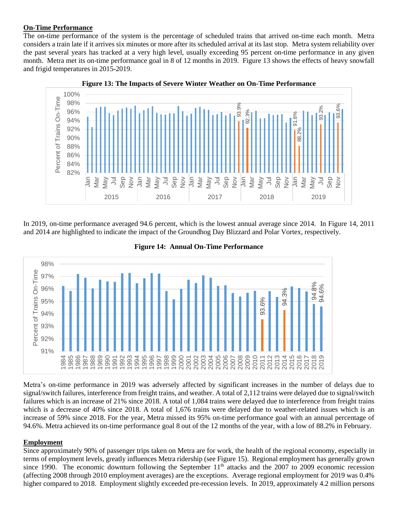#### **On-Time Performance**

The on-time performance of the system is the percentage of scheduled trains that arrived on-time each month. Metra considers a train late if it arrives six minutes or more after its scheduled arrival at its last stop. Metra system reliability over the past several years has tracked at a very high level, usually exceeding 95 percent on-time performance in any given month. Metra met its on-time performance goal in 8 of 12 months in 2019. Figure 13 shows the effects of heavy snowfall and frigid temperatures in 2015-2019.



**Figure 13: The Impacts of Severe Winter Weather on On-Time Performance**

In 2019, on-time performance averaged 94.6 percent, which is the lowest annual average since 2014. In Figure 14, 2011 and 2014 are highlighted to indicate the impact of the Groundhog Day Blizzard and Polar Vortex, respectively.



**Figure 14: Annual On-Time Performance**

Metra's on-time performance in 2019 was adversely affected by significant increases in the number of delays due to signal/switch failures, interference from freight trains, and weather. A total of 2,112 trains were delayed due to signal/switch failures which is an increase of 21% since 2018. A total of 1,084 trains were delayed due to interference from freight trains which is a decrease of 40% since 2018. A total of 1,676 trains were delayed due to weather-related issues which is an increase of 59% since 2018. For the year, Metra missed its 95% on-time performance goal with an annual percentage of 94.6%. Metra achieved its on-time performance goal 8 out of the 12 months of the year, with a low of 88.2% in February.

## **Employment**

Since approximately 90% of passenger trips taken on Metra are for work, the health of the regional economy, especially in terms of employment levels, greatly influences Metra ridership (see Figure 15). Regional employment has generally grown since 1990. The economic downturn following the September  $11<sup>th</sup>$  attacks and the 2007 to 2009 economic recession (affecting 2008 through 2010 employment averages) are the exceptions. Average regional employment for 2019 was 0.4%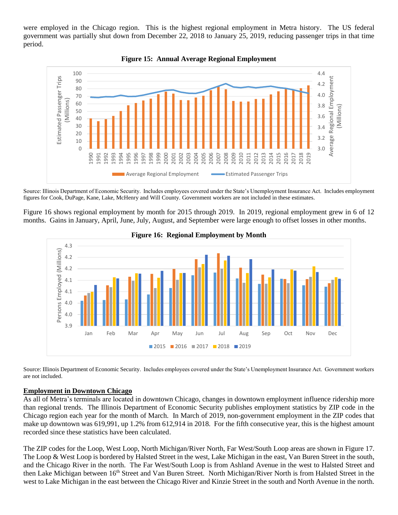were employed in the Chicago region. This is the highest regional employment in Metra history. The US federal government was partially shut down from December 22, 2018 to January 25, 2019, reducing passenger trips in that time period.





Source: Illinois Department of Economic Security. Includes employees covered under the State's Unemployment Insurance Act. Includes employment figures for Cook, DuPage, Kane, Lake, McHenry and Will County. Government workers are not included in these estimates.

Figure 16 shows regional employment by month for 2015 through 2019. In 2019, regional employment grew in 6 of 12 months. Gains in January, April, June, July, August, and September were large enough to offset losses in other months.



**Figure 16: Regional Employment by Month**

Source: Illinois Department of Economic Security. Includes employees covered under the State's Unemployment Insurance Act. Government workers are not included.

## **Employment in Downtown Chicago**

As all of Metra's terminals are located in downtown Chicago, changes in downtown employment influence ridership more than regional trends. The Illinois Department of Economic Security publishes employment statistics by ZIP code in the Chicago region each year for the month of March. In March of 2019, non-government employment in the ZIP codes that make up downtown was 619,991, up 1.2% from 612,914 in 2018. For the fifth consecutive year, this is the highest amount recorded since these statistics have been calculated.

The ZIP codes for the Loop, West Loop, North Michigan/River North, Far West/South Loop areas are shown in Figure 17. The Loop & West Loop is bordered by Halsted Street in the west, Lake Michigan in the east, Van Buren Street in the south, and the Chicago River in the north. The Far West/South Loop is from Ashland Avenue in the west to Halsted Street and then Lake Michigan between 16<sup>th</sup> Street and Van Buren Street. North Michigan/River North is from Halsted Street in the west to Lake Michigan in the east between the Chicago River and Kinzie Street in the south and North Avenue in the north.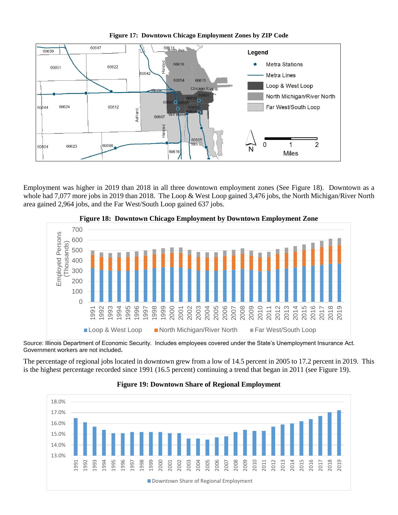

**Figure 17: Downtown Chicago Employment Zones by ZIP Code**

Employment was higher in 2019 than 2018 in all three downtown employment zones (See Figure 18). Downtown as a whole had 7,077 more jobs in 2019 than 2018. The Loop & West Loop gained 3,476 jobs, the North Michigan/River North area gained 2,964 jobs, and the Far West/South Loop gained 637 jobs.



**Figure 18: Downtown Chicago Employment by Downtown Employment Zone**

Source: Illinois Department of Economic Security. Includes employees covered under the State's Unemployment Insurance Act. Government workers are not included**.**

The percentage of regional jobs located in downtown grew from a low of 14.5 percent in 2005 to 17.2 percent in 2019. This is the highest percentage recorded since 1991 (16.5 percent) continuing a trend that began in 2011 (see Figure 19).



## **Figure 19: Downtown Share of Regional Employment**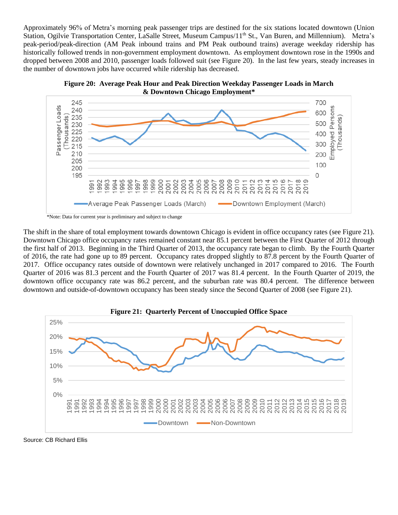Approximately 96% of Metra's morning peak passenger trips are destined for the six stations located downtown (Union Station, Ogilvie Transportation Center, LaSalle Street, Museum Campus/11<sup>th</sup> St., Van Buren, and Millennium). Metra's peak-period/peak-direction (AM Peak inbound trains and PM Peak outbound trains) average weekday ridership has historically followed trends in non-government employment downtown. As employment downtown rose in the 1990s and dropped between 2008 and 2010, passenger loads followed suit (see Figure 20). In the last few years, steady increases in the number of downtown jobs have occurred while ridership has decreased.





\*Note: Data for current year is preliminary and subject to change

The shift in the share of total employment towards downtown Chicago is evident in office occupancy rates (see Figure 21). Downtown Chicago office occupancy rates remained constant near 85.1 percent between the First Quarter of 2012 through the first half of 2013. Beginning in the Third Quarter of 2013, the occupancy rate began to climb. By the Fourth Quarter of 2016, the rate had gone up to 89 percent. Occupancy rates dropped slightly to 87.8 percent by the Fourth Quarter of 2017. Office occupancy rates outside of downtown were relatively unchanged in 2017 compared to 2016. The Fourth Quarter of 2016 was 81.3 percent and the Fourth Quarter of 2017 was 81.4 percent. In the Fourth Quarter of 2019, the downtown office occupancy rate was 86.2 percent, and the suburban rate was 80.4 percent. The difference between downtown and outside-of-downtown occupancy has been steady since the Second Quarter of 2008 (see Figure 21).



Source: CB Richard Ellis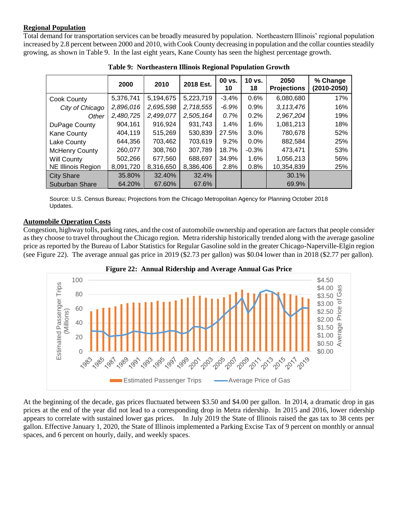## **Regional Population**

Total demand for transportation services can be broadly measured by population. Northeastern Illinois' regional population increased by 2.8 percent between 2000 and 2010, with Cook County decreasing in population and the collar counties steadily growing, as shown in Table 9. In the last eight years, Kane County has seen the highest percentage growth.

|                           | 2000      | 2010      | 2018 Est. | 00 vs.<br>10 | 10 vs.<br>18 | 2050<br><b>Projections</b> | % Change<br>(2010-2050) |
|---------------------------|-----------|-----------|-----------|--------------|--------------|----------------------------|-------------------------|
| Cook County               | 5,376,741 | 5,194,675 | 5,223,719 | $-3.4%$      | 0.6%         | 6,080,680                  | 17%                     |
| City of Chicago           | 2,896,016 | 2,695,598 | 2,718,555 | $-6.9%$      | 0.9%         | 3,113,476                  | 16%                     |
| Other                     | 2,480,725 | 2,499,077 | 2,505,164 | 0.7%         | 0.2%         | 2,967,204                  | 19%                     |
| DuPage County             | 904,161   | 916,924   | 931,743   | 1.4%         | 1.6%         | 1,081,213                  | 18%                     |
| <b>Kane County</b>        | 404,119   | 515,269   | 530,839   | 27.5%        | $3.0\%$      | 780,678                    | 52%                     |
| Lake County               | 644,356   | 703,462   | 703,619   | $9.2\%$      | $0.0\%$      | 882,584                    | 25%                     |
| <b>McHenry County</b>     | 260,077   | 308,760   | 307,789   | 18.7%        | $-0.3%$      | 473,471                    | 53%                     |
| <b>Will County</b>        | 502,266   | 677,560   | 688.697   | 34.9%        | 1.6%         | 1,056,213                  | 56%                     |
| <b>NE Illinois Region</b> | 8,091,720 | 8,316,650 | 8,386,406 | 2.8%         | 0.8%         | 10,354,839                 | 25%                     |
| <b>City Share</b>         | 35.80%    | 32.40%    | 32.4%     |              |              | 30.1%                      |                         |
| <b>Suburban Share</b>     | 64.20%    | 67.60%    | 67.6%     |              |              | 69.9%                      |                         |

**Table 9: Northeastern Illinois Regional Population Growth**

Source: U.S. Census Bureau; Projections from the Chicago Metropolitan Agency for Planning October 2018 Updates.

## **Automobile Operation Costs**

Congestion, highway tolls, parking rates, and the cost of automobile ownership and operation are factors that people consider as they choose to travel throughout the Chicago region. Metra ridership historically trended along with the average gasoline price as reported by the Bureau of Labor Statistics for Regular Gasoline sold in the greater Chicago-Naperville-Elgin region (see Figure 22). The average annual gas price in 2019 (\$2.73 per gallon) was \$0.04 lower than in 2018 (\$2.77 per gallon).





At the beginning of the decade, gas prices fluctuated between \$3.50 and \$4.00 per gallon. In 2014, a dramatic drop in gas prices at the end of the year did not lead to a corresponding drop in Metra ridership. In 2015 and 2016, lower ridership appears to correlate with sustained lower gas prices. In July 2019 the State of Illinois raised the gas tax to 38 cents per gallon. Effective January 1, 2020, the State of Illinois implemented a Parking Excise Tax of 9 percent on monthly or annual spaces, and 6 percent on hourly, daily, and weekly spaces.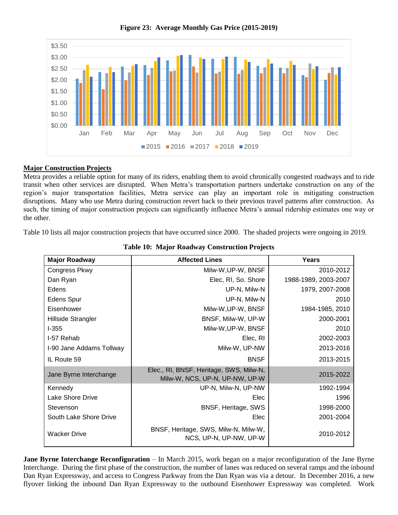

**Figure 23: Average Monthly Gas Price (2015-2019)**

## **Major Construction Projects**

Metra provides a reliable option for many of its riders, enabling them to avoid chronically congested roadways and to ride transit when other services are disrupted. When Metra's transportation partners undertake construction on any of the region's major transportation facilities, Metra service can play an important role in mitigating construction disruptions. Many who use Metra during construction revert back to their previous travel patterns after construction. As such, the timing of major construction projects can significantly influence Metra's annual ridership estimates one way or the other.

Table 10 lists all major construction projects that have occurred since 2000. The shaded projects were ongoing in 2019.

| <b>Major Roadway</b>     | <b>Affected Lines</b>                                                     | Years                |
|--------------------------|---------------------------------------------------------------------------|----------------------|
| <b>Congress Pkwy</b>     | Milw-W, UP-W, BNSF                                                        | 2010-2012            |
| Dan Ryan                 | Elec, RI, So. Shore                                                       | 1988-1989, 2003-2007 |
| Edens                    | UP-N, Milw-N                                                              | 1979, 2007-2008      |
| <b>Edens Spur</b>        | UP-N, Milw-N                                                              | 2010                 |
| Eisenhower               | Milw-W, UP-W, BNSF                                                        | 1984-1985, 2010      |
| Hillside Strangler       | BNSF, Milw-W, UP-W                                                        | 2000-2001            |
| $1 - 355$                | Milw-W, UP-W, BNSF                                                        | 2010                 |
| I-57 Rehab               | Elec, RI                                                                  | 2002-2003            |
| I-90 Jane Addams Tollway | Milw-W, UP-NW                                                             | 2013-2016            |
| IL Route 59              | <b>BNSF</b>                                                               | 2013-2015            |
| Jane Byrne Interchange   | Elec., RI, BNSF, Heritage, SWS, Milw-N,<br>Milw-W, NCS, UP-N, UP-NW, UP-W | 2015-2022            |
| Kennedy                  | UP-N, Milw-N, UP-NW                                                       | 1992-1994            |
| Lake Shore Drive         | Elec                                                                      | 1996                 |
| Stevenson                | BNSF, Heritage, SWS                                                       | 1998-2000            |
| South Lake Shore Drive   | Elec                                                                      | 2001-2004            |
| <b>Wacker Drive</b>      | BNSF, Heritage, SWS, Milw-N, Milw-W,<br>NCS, UP-N, UP-NW, UP-W            | 2010-2012            |

**Table 10: Major Roadway Construction Projects**

**Jane Byrne Interchange Reconfiguration** – In March 2015, work began on a major reconfiguration of the Jane Byrne Interchange. During the first phase of the construction, the number of lanes was reduced on several ramps and the inbound Dan Ryan Expressway, and access to Congress Parkway from the Dan Ryan was via a detour. In December 2016, a new flyover linking the inbound Dan Ryan Expressway to the outbound Eisenhower Expressway was completed. Work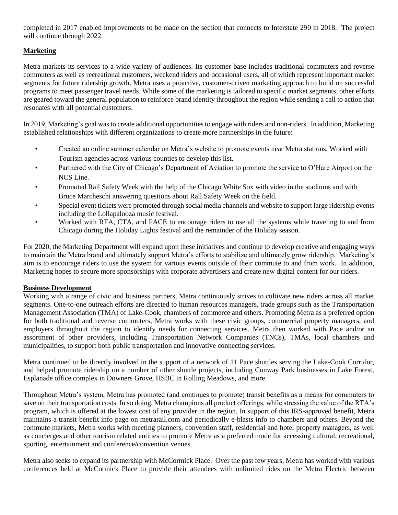completed in 2017 enabled improvements to be made on the section that connects to Interstate 290 in 2018. The project will continue through 2022.

## **Marketing**

Metra markets its services to a wide variety of audiences. Its customer base includes traditional commuters and reverse commuters as well as recreational customers, weekend riders and occasional users, all of which represent important market segments for future ridership growth. Metra uses a proactive, customer-driven marketing approach to build on successful programs to meet passenger travel needs. While some of the marketing is tailored to specific market segments, other efforts are geared toward the general population to reinforce brand identity throughout the region while sending a call to action that resonates with all potential customers.

In 2019, Marketing's goal was to create additional opportunities to engage with riders and non-riders. In addition, Marketing established relationships with different organizations to create more partnerships in the future:

- Created an online summer calendar on Metra's website to promote events near Metra stations. Worked with Tourism agencies across various counties to develop this list.
- Partnered with the City of Chicago's Department of Aviation to promote the service to O'Hare Airport on the NCS Line.
- Promoted Rail Safety Week with the help of the Chicago White Sox with video in the stadiums and with Bruce Marcheschi answering questions about Rail Safety Week on the field.
- Special event tickets were promoted through social media channels and website to support large ridership events including the Lollapalooza music festival.
- Worked with RTA, CTA, and PACE to encourage riders to use all the systems while traveling to and from Chicago during the Holiday Lights festival and the remainder of the Holiday season.

For 2020, the Marketing Department will expand upon these initiatives and continue to develop creative and engaging ways to maintain the Metra brand and ultimately support Metra's efforts to stabilize and ultimately grow ridership. Marketing's aim is to encourage riders to use the system for various events outside of their commute to and from work. In addition, Marketing hopes to secure more sponsorships with corporate advertisers and create new digital content for our riders.

## **Business Development**

Working with a range of civic and business partners, Metra continuously strives to cultivate new riders across all market segments. One-to-one outreach efforts are directed to human resources managers, trade groups such as the Transportation Management Association (TMA) of Lake-Cook, chambers of commerce and others. Promoting Metra as a preferred option for both traditional and reverse commuters, Metra works with these civic groups, commercial property managers, and employers throughout the region to identify needs for connecting services. Metra then worked with Pace and/or an assortment of other providers, including Transportation Network Companies (TNCs), TMAs, local chambers and municipalities, to support both public transportation and innovative connecting services.

Metra continued to be directly involved in the support of a network of 11 Pace shuttles serving the Lake-Cook Corridor, and helped promote ridership on a number of other shuttle projects, including Conway Park businesses in Lake Forest, Esplanade office complex in Downers Grove, HSBC in Rolling Meadows, and more.

Throughout Metra's system, Metra has promoted (and continues to promote) transit benefits as a means for commuters to save on their transportation costs. In so doing, Metra champions all product offerings, while stressing the value of the RTA's program, which is offered at the lowest cost of any provider in the region. In support of this IRS-approved benefit, Metra maintains a transit benefit info page on metrarail.com and periodically e-blasts info to chambers and others. Beyond the commute markets, Metra works with meeting planners, convention staff, residential and hotel property managers, as well as concierges and other tourism related entities to promote Metra as a preferred mode for accessing cultural, recreational, sporting, entertainment and conference/convention venues.

Metra also seeks to expand its partnership with McCormick Place. Over the past few years, Metra has worked with various conferences held at McCormick Place to provide their attendees with unlimited rides on the Metra Electric between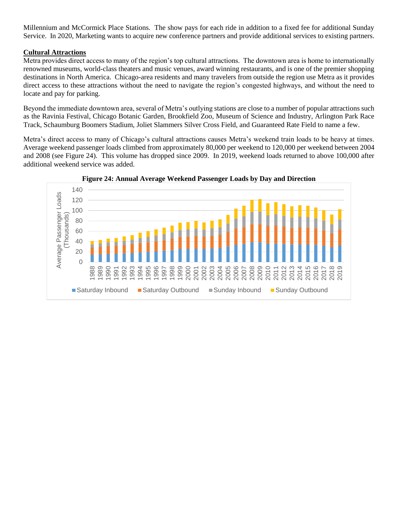Millennium and McCormick Place Stations. The show pays for each ride in addition to a fixed fee for additional Sunday Service. In 2020, Marketing wants to acquire new conference partners and provide additional services to existing partners.

## **Cultural Attractions**

Metra provides direct access to many of the region's top cultural attractions. The downtown area is home to internationally renowned museums, world-class theaters and music venues, award winning restaurants, and is one of the premier shopping destinations in North America. Chicago-area residents and many travelers from outside the region use Metra as it provides direct access to these attractions without the need to navigate the region's congested highways, and without the need to locate and pay for parking.

Beyond the immediate downtown area, several of Metra's outlying stations are close to a number of popular attractions such as the Ravinia Festival, Chicago Botanic Garden, Brookfield Zoo, Museum of Science and Industry, Arlington Park Race Track, Schaumburg Boomers Stadium, Joliet Slammers Silver Cross Field, and Guaranteed Rate Field to name a few.

Metra's direct access to many of Chicago's cultural attractions causes Metra's weekend train loads to be heavy at times. Average weekend passenger loads climbed from approximately 80,000 per weekend to 120,000 per weekend between 2004 and 2008 (see Figure 24). This volume has dropped since 2009. In 2019, weekend loads returned to above 100,000 after additional weekend service was added.



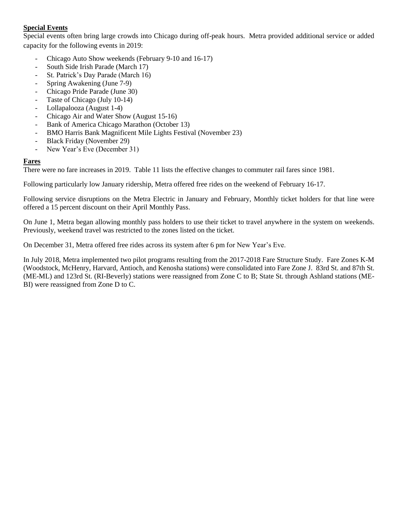## **Special Events**

Special events often bring large crowds into Chicago during off-peak hours. Metra provided additional service or added capacity for the following events in 2019:

- Chicago Auto Show weekends (February 9-10 and 16-17)
- South Side Irish Parade (March 17)
- St. Patrick's Day Parade (March 16)
- Spring Awakening (June 7-9)
- Chicago Pride Parade (June 30)
- Taste of Chicago (July 10-14)
- Lollapalooza (August 1-4)
- Chicago Air and Water Show (August 15-16)
- Bank of America Chicago Marathon (October 13)
- BMO Harris Bank Magnificent Mile Lights Festival (November 23)
- Black Friday (November 29)
- New Year's Eve (December 31)

## **Fares**

There were no fare increases in 2019. Table 11 lists the effective changes to commuter rail fares since 1981.

Following particularly low January ridership, Metra offered free rides on the weekend of February 16-17.

Following service disruptions on the Metra Electric in January and February, Monthly ticket holders for that line were offered a 15 percent discount on their April Monthly Pass.

On June 1, Metra began allowing monthly pass holders to use their ticket to travel anywhere in the system on weekends. Previously, weekend travel was restricted to the zones listed on the ticket.

On December 31, Metra offered free rides across its system after 6 pm for New Year's Eve.

In July 2018, Metra implemented two pilot programs resulting from the 2017-2018 Fare Structure Study. Fare Zones K-M (Woodstock, McHenry, Harvard, Antioch, and Kenosha stations) were consolidated into Fare Zone J. 83rd St. and 87th St. (ME-ML) and 123rd St. (RI-Beverly) stations were reassigned from Zone C to B; State St. through Ashland stations (ME-BI) were reassigned from Zone D to C.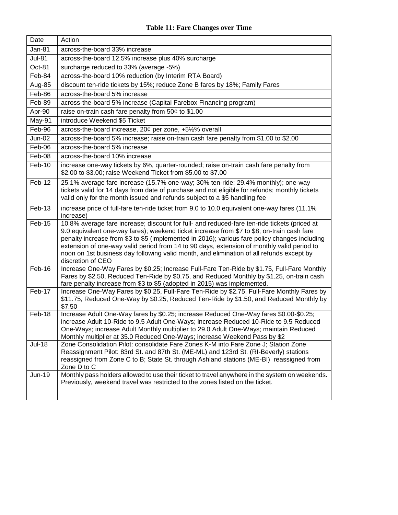| Date          | Action                                                                                                                                                                                                                                                                                                                                                                                                                                                                                                     |
|---------------|------------------------------------------------------------------------------------------------------------------------------------------------------------------------------------------------------------------------------------------------------------------------------------------------------------------------------------------------------------------------------------------------------------------------------------------------------------------------------------------------------------|
| <b>Jan-81</b> | across-the-board 33% increase                                                                                                                                                                                                                                                                                                                                                                                                                                                                              |
| <b>Jul-81</b> | across-the-board 12.5% increase plus 40% surcharge                                                                                                                                                                                                                                                                                                                                                                                                                                                         |
| Oct-81        | surcharge reduced to 33% (average -5%)                                                                                                                                                                                                                                                                                                                                                                                                                                                                     |
| Feb-84        | across-the-board 10% reduction (by Interim RTA Board)                                                                                                                                                                                                                                                                                                                                                                                                                                                      |
| Aug-85        | discount ten-ride tickets by 15%; reduce Zone B fares by 18%; Family Fares                                                                                                                                                                                                                                                                                                                                                                                                                                 |
| Feb-86        | across-the-board 5% increase                                                                                                                                                                                                                                                                                                                                                                                                                                                                               |
| Feb-89        | across-the-board 5% increase (Capital Farebox Financing program)                                                                                                                                                                                                                                                                                                                                                                                                                                           |
| Apr-90        | raise on-train cash fare penalty from 50¢ to \$1.00                                                                                                                                                                                                                                                                                                                                                                                                                                                        |
| May-91        | introduce Weekend \$5 Ticket                                                                                                                                                                                                                                                                                                                                                                                                                                                                               |
| Feb-96        | across-the-board increase, 20¢ per zone, +5½% overall                                                                                                                                                                                                                                                                                                                                                                                                                                                      |
| <b>Jun-02</b> | across-the-board 5% increase; raise on-train cash fare penalty from \$1.00 to \$2.00                                                                                                                                                                                                                                                                                                                                                                                                                       |
| Feb-06        | across-the-board 5% increase                                                                                                                                                                                                                                                                                                                                                                                                                                                                               |
| Feb-08        | across-the-board 10% increase                                                                                                                                                                                                                                                                                                                                                                                                                                                                              |
| Feb-10        | increase one-way tickets by 6%, quarter-rounded; raise on-train cash fare penalty from<br>\$2.00 to \$3.00; raise Weekend Ticket from \$5.00 to \$7.00                                                                                                                                                                                                                                                                                                                                                     |
| Feb-12        | 25.1% average fare increase (15.7% one-way; 30% ten-ride; 29.4% monthly); one-way<br>tickets valid for 14 days from date of purchase and not eligible for refunds; monthly tickets<br>valid only for the month issued and refunds subject to a \$5 handling fee                                                                                                                                                                                                                                            |
| Feb-13        | increase price of full-fare ten-ride ticket from 9.0 to 10.0 equivalent one-way fares (11.1%<br>increase)                                                                                                                                                                                                                                                                                                                                                                                                  |
| Feb-15        | 10.8% average fare increase; discount for full- and reduced-fare ten-ride tickets (priced at<br>9.0 equivalent one-way fares); weekend ticket increase from \$7 to \$8; on-train cash fare<br>penalty increase from \$3 to \$5 (implemented in 2016); various fare policy changes including<br>extension of one-way valid period from 14 to 90 days, extension of monthly valid period to<br>noon on 1st business day following valid month, and elimination of all refunds except by<br>discretion of CEO |
| Feb-16        | Increase One-Way Fares by \$0.25; Increase Full-Fare Ten-Ride by \$1.75, Full-Fare Monthly<br>Fares by \$2.50, Reduced Ten-Ride by \$0.75, and Reduced Monthly by \$1.25, on-train cash<br>fare penalty increase from \$3 to \$5 (adopted in 2015) was implemented.                                                                                                                                                                                                                                        |
| Feb-17        | Increase One-Way Fares by \$0.25, Full-Fare Ten-Ride by \$2.75, Full-Fare Monthly Fares by<br>\$11.75, Reduced One-Way by \$0.25, Reduced Ten-Ride by \$1.50, and Reduced Monthly by<br>\$7.50                                                                                                                                                                                                                                                                                                             |
| Feb-18        | Increase Adult One-Way fares by \$0.25; increase Reduced One-Way fares \$0.00-\$0.25;<br>increase Adult 10-Ride to 9.5 Adult One-Ways; increase Reduced 10-Ride to 9.5 Reduced<br>One-Ways; increase Adult Monthly multiplier to 29.0 Adult One-Ways; maintain Reduced<br>Monthly multiplier at 35.0 Reduced One-Ways; increase Weekend Pass by \$2                                                                                                                                                        |
| <b>Jul-18</b> | Zone Consolidation Pilot: consolidate Fare Zones K-M into Fare Zone J; Station Zone<br>Reassignment Pilot: 83rd St. and 87th St. (ME-ML) and 123rd St. (RI-Beverly) stations<br>reassigned from Zone C to B; State St. through Ashland stations (ME-BI) reassigned from<br>Zone D to C                                                                                                                                                                                                                     |
| <b>Jun-19</b> | Monthly pass holders allowed to use their ticket to travel anywhere in the system on weekends.<br>Previously, weekend travel was restricted to the zones listed on the ticket.                                                                                                                                                                                                                                                                                                                             |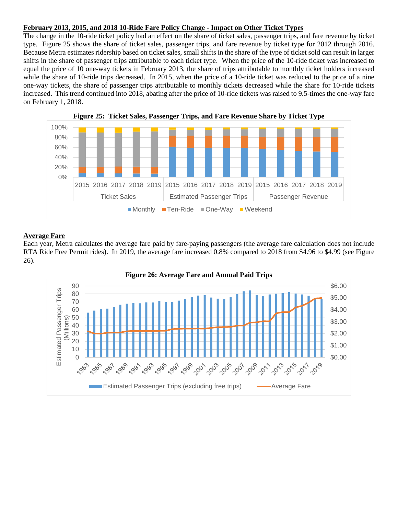## **February 2013, 2015, and 2018 10-Ride Fare Policy Change - Impact on Other Ticket Types**

The change in the 10-ride ticket policy had an effect on the share of ticket sales, passenger trips, and fare revenue by ticket type. Figure 25 shows the share of ticket sales, passenger trips, and fare revenue by ticket type for 2012 through 2016. Because Metra estimates ridership based on ticket sales, small shifts in the share of the type of ticket sold can result in larger shifts in the share of passenger trips attributable to each ticket type. When the price of the 10-ride ticket was increased to equal the price of 10 one-way tickets in February 2013, the share of trips attributable to monthly ticket holders increased while the share of 10-ride trips decreased. In 2015, when the price of a 10-ride ticket was reduced to the price of a nine one-way tickets, the share of passenger trips attributable to monthly tickets decreased while the share for 10-ride tickets increased. This trend continued into 2018, abating after the price of 10-ride tickets was raised to 9.5-times the one-way fare on February 1, 2018.



## **Average Fare**

Each year, Metra calculates the average fare paid by fare-paying passengers (the average fare calculation does not include RTA Ride Free Permit rides). In 2019, the average fare increased 0.8% compared to 2018 from \$4.96 to \$4.99 (see Figure 26).

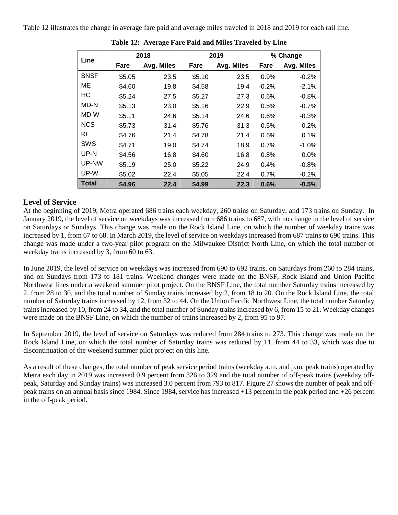Table 12 illustrates the change in average fare paid and average miles traveled in 2018 and 2019 for each rail line.

|             |        | 2018       |        | 2019       |         | % Change   |
|-------------|--------|------------|--------|------------|---------|------------|
| Line        | Fare   | Avg. Miles | Fare   | Avg. Miles | Fare    | Avg. Miles |
| <b>BNSF</b> | \$5.05 | 23.5       | \$5.10 | 23.5       | 0.9%    | $-0.2%$    |
| MЕ          | \$4.60 | 19.8       | \$4.58 | 19.4       | $-0.2%$ | $-2.1%$    |
| НC          | \$5.24 | 27.5       | \$5.27 | 27.3       | 0.6%    | $-0.8%$    |
| MD-N        | \$5.13 | 23.0       | \$5.16 | 22.9       | 0.5%    | $-0.7%$    |
| MD-W        | \$5.11 | 24.6       | \$5.14 | 24.6       | 0.6%    | $-0.3%$    |
| <b>NCS</b>  | \$5.73 | 31.4       | \$5.76 | 31.3       | 0.5%    | $-0.2%$    |
| RI          | \$4.76 | 21.4       | \$4.78 | 21.4       | 0.6%    | 0.1%       |
| <b>SWS</b>  | \$4.71 | 19.0       | \$4.74 | 18.9       | 0.7%    | $-1.0%$    |
| UP-N        | \$4.56 | 16.8       | \$4.60 | 16.8       | 0.8%    | $0.0\%$    |
| UP-NW       | \$5.19 | 25.0       | \$5.22 | 24.9       | 0.4%    | $-0.8%$    |
| UP-W        | \$5.02 | 22.4       | \$5.05 | 22.4       | 0.7%    | $-0.2%$    |
| Total       | \$4.96 | 22.4       | \$4.99 | 22.3       | 0.6%    | $-0.5%$    |

**Table 12: Average Fare Paid and Miles Traveled by Line**

## **Level of Service**

At the beginning of 2019, Metra operated 686 trains each weekday, 260 trains on Saturday, and 173 trains on Sunday. In January 2019, the level of service on weekdays was increased from 686 trains to 687, with no change in the level of service on Saturdays or Sundays. This change was made on the Rock Island Line, on which the number of weekday trains was increased by 1, from 67 to 68. In March 2019, the level of service on weekdays increased from 687 trains to 690 trains. This change was made under a two-year pilot program on the Milwaukee District North Line, on which the total number of weekday trains increased by 3, from 60 to 63.

In June 2019, the level of service on weekdays was increased from 690 to 692 trains, on Saturdays from 260 to 284 trains, and on Sundays from 173 to 181 trains. Weekend changes were made on the BNSF, Rock Island and Union Pacific Northwest lines under a weekend summer pilot project. On the BNSF Line, the total number Saturday trains increased by 2, from 28 to 30, and the total number of Sunday trains increased by 2, from 18 to 20. On the Rock Island Line, the total number of Saturday trains increased by 12, from 32 to 44. On the Union Pacific Northwest Line, the total number Saturday trains increased by 10, from 24 to 34, and the total number of Sunday trains increased by 6, from 15 to 21. Weekday changes were made on the BNSF Line, on which the number of trains increased by 2, from 95 to 97.

In September 2019, the level of service on Saturdays was reduced from 284 trains to 273. This change was made on the Rock Island Line, on which the total number of Saturday trains was reduced by 11, from 44 to 33, which was due to discontinuation of the weekend summer pilot project on this line.

As a result of these changes, the total number of peak service period trains (weekday a.m. and p.m. peak trains) operated by Metra each day in 2019 was increased 0.9 percent from 326 to 329 and the total number of off-peak trains (weekday offpeak, Saturday and Sunday trains) was increased 3.0 percent from 793 to 817. Figure 27 shows the number of peak and offpeak trains on an annual basis since 1984. Since 1984, service has increased +13 percent in the peak period and +26 percent in the off-peak period.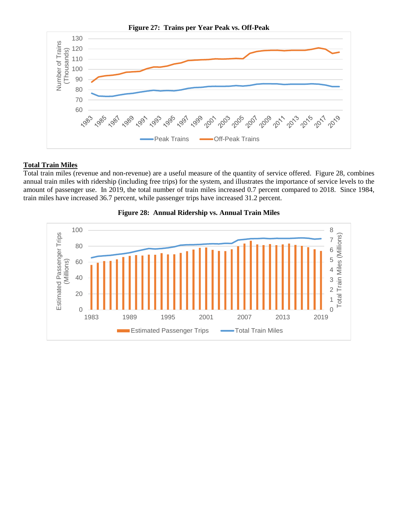

## **Total Train Miles**

Total train miles (revenue and non-revenue) are a useful measure of the quantity of service offered. Figure 28, combines annual train miles with ridership (including free trips) for the system, and illustrates the importance of service levels to the amount of passenger use. In 2019, the total number of train miles increased 0.7 percent compared to 2018. Since 1984, train miles have increased 36.7 percent, while passenger trips have increased 31.2 percent.



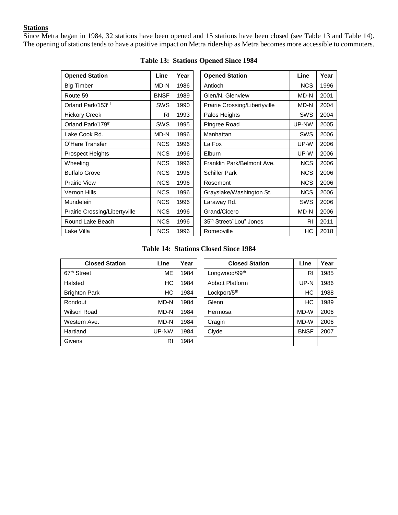## **Stations**

Since Metra began in 1984, 32 stations have been opened and 15 stations have been closed (see Table 13 and Table 14). The opening of stations tends to have a positive impact on Metra ridership as Metra becomes more accessible to commuters.

| <b>Opened Station</b>         | Line        | Year | <b>Opened Station</b>               | Line       | Year |
|-------------------------------|-------------|------|-------------------------------------|------------|------|
| <b>Big Timber</b>             | MD-N        | 1986 | Antioch                             | <b>NCS</b> | 1996 |
| Route 59                      | <b>BNSF</b> | 1989 | Glen/N. Glenview                    | MD-N       | 2001 |
| Orland Park/153rd             | <b>SWS</b>  | 1990 | Prairie Crossing/Libertyville       | MD-N       | 2004 |
| <b>Hickory Creek</b>          | RI.         | 1993 | Palos Heights                       | <b>SWS</b> | 2004 |
| Orland Park/179 <sup>th</sup> | <b>SWS</b>  | 1995 | Pingree Road                        | UP-NW      | 2005 |
| Lake Cook Rd.                 | MD-N        | 1996 | Manhattan                           | <b>SWS</b> | 2006 |
| O'Hare Transfer               | <b>NCS</b>  | 1996 | La Fox                              | UP-W       | 2006 |
| <b>Prospect Heights</b>       | <b>NCS</b>  | 1996 | Elburn                              | UP-W       | 2006 |
| Wheeling                      | NCS         | 1996 | Franklin Park/Belmont Ave.          | <b>NCS</b> | 2006 |
| <b>Buffalo Grove</b>          | <b>NCS</b>  | 1996 | <b>Schiller Park</b>                | <b>NCS</b> | 2006 |
| <b>Prairie View</b>           | <b>NCS</b>  | 1996 | Rosemont                            | <b>NCS</b> | 2006 |
| Vernon Hills                  | <b>NCS</b>  | 1996 | Grayslake/Washington St.            | <b>NCS</b> | 2006 |
| Mundelein                     | <b>NCS</b>  | 1996 | Laraway Rd.                         | <b>SWS</b> | 2006 |
| Prairie Crossing/Libertyville | <b>NCS</b>  | 1996 | Grand/Cicero                        | MD-N       | 2006 |
| Round Lake Beach              | <b>NCS</b>  | 1996 | 35 <sup>th</sup> Street/"Lou" Jones | <b>RI</b>  | 2011 |
| Lake Villa                    | <b>NCS</b>  | 1996 | Romeoville                          | HС         | 2018 |

|  | Table 13: Stations Opened Since 1984 |  |  |  |
|--|--------------------------------------|--|--|--|
|--|--------------------------------------|--|--|--|

| Opened Station                      | Line       | <b>Year</b> |
|-------------------------------------|------------|-------------|
| Antioch                             | <b>NCS</b> | 1996        |
| Glen/N. Glenview                    | MD-N       | 2001        |
| Prairie Crossing/Libertyville       | MD-N       | 2004        |
| Palos Heights                       | <b>SWS</b> | 2004        |
| Pingree Road                        | UP-NW      | 2005        |
| Manhattan                           | <b>SWS</b> | 2006        |
| La Fox                              | UP-W       | 2006        |
| Elburn                              | UP-W       | 2006        |
| Franklin Park/Belmont Ave.          | <b>NCS</b> | 2006        |
| Schiller Park                       | <b>NCS</b> | 2006        |
| Rosemont                            | <b>NCS</b> | 2006        |
| Grayslake/Washington St.            | <b>NCS</b> | 2006        |
| Laraway Rd.                         | SWS        | 2006        |
| Grand/Cicero                        | MD-N       | 2006        |
| 35 <sup>th</sup> Street/"Lou" Jones | RI         | 2011        |
| Romeoville                          | НC         | 2018        |

## **Table 14: Stations Closed Since 1984**

| Line      | Year | <b>Closed Station</b>    | Line        | Year |
|-----------|------|--------------------------|-------------|------|
| ME.       | 1984 | Longwood/99th            | <b>RI</b>   | 1985 |
| <b>HC</b> | 1984 | Abbott Platform          | UP-N        | 1986 |
| <b>HC</b> | 1984 | Lockport/5 <sup>th</sup> | HC          | 1988 |
| MD-N      | 1984 | Glenn                    | HC          | 1989 |
| MD-N      | 1984 | Hermosa                  | MD-W        | 2006 |
| MD-N      | 1984 | Cragin                   | MD-W        | 2006 |
| UP-NW     | 1984 | Clyde                    | <b>BNSF</b> | 2007 |
| RI        | 1984 |                          |             |      |
|           |      |                          |             |      |

| <b>Closed Station</b> | Line      | Year | <b>Closed Station</b>  | Line        | Year |
|-----------------------|-----------|------|------------------------|-------------|------|
| et                    | <b>ME</b> | 1984 | Longwood/99th          | RI          | 1985 |
|                       | HC        | 1984 | <b>Abbott Platform</b> | UP-N        | 1986 |
| Park                  | HC        | 1984 | Lockport/5th           | HC          | 1988 |
|                       | MD-N      | 1984 | Glenn                  | НC          | 1989 |
| २oad                  | MD-N      | 1984 | Hermosa                | MD-W        | 2006 |
| ı Ave.                | MD-N      | 1984 | Cragin                 | MD-W        | 2006 |
|                       | UP-NW     | 1984 | Clyde                  | <b>BNSF</b> | 2007 |
|                       | RI        | 1984 |                        |             |      |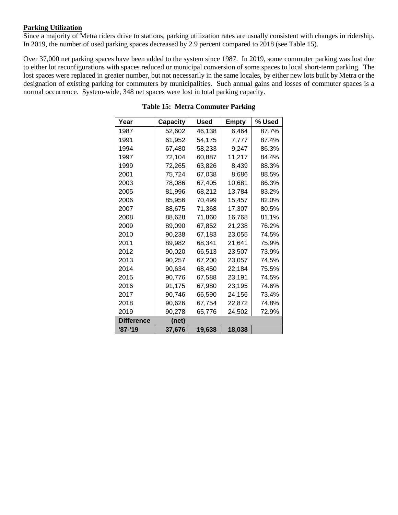## **Parking Utilization**

Since a majority of Metra riders drive to stations, parking utilization rates are usually consistent with changes in ridership. In 2019, the number of used parking spaces decreased by 2.9 percent compared to 2018 (see Table 15).

Over 37,000 net parking spaces have been added to the system since 1987. In 2019, some commuter parking was lost due to either lot reconfigurations with spaces reduced or municipal conversion of some spaces to local short-term parking. The lost spaces were replaced in greater number, but not necessarily in the same locales, by either new lots built by Metra or the designation of existing parking for commuters by municipalities. Such annual gains and losses of commuter spaces is a normal occurrence. System-wide, 348 net spaces were lost in total parking capacity.

| Year              | <b>Capacity</b> | Used   | Empty  | % Used |
|-------------------|-----------------|--------|--------|--------|
| 1987              | 52,602          | 46,138 | 6,464  | 87.7%  |
| 1991              | 61,952          | 54,175 | 7,777  | 87.4%  |
| 1994              | 67,480          | 58,233 | 9,247  | 86.3%  |
| 1997              | 72,104          | 60,887 | 11,217 | 84.4%  |
| 1999              | 72,265          | 63,826 | 8,439  | 88.3%  |
| 2001              | 75,724          | 67,038 | 8,686  | 88.5%  |
| 2003              | 78,086          | 67,405 | 10,681 | 86.3%  |
| 2005              | 81,996          | 68,212 | 13,784 | 83.2%  |
| 2006              | 85,956          | 70,499 | 15,457 | 82.0%  |
| 2007              | 88,675          | 71,368 | 17,307 | 80.5%  |
| 2008              | 88,628          | 71,860 | 16,768 | 81.1%  |
| 2009              | 89,090          | 67,852 | 21,238 | 76.2%  |
| 2010              | 90,238          | 67,183 | 23,055 | 74.5%  |
| 2011              | 89,982          | 68,341 | 21,641 | 75.9%  |
| 2012              | 90,020          | 66,513 | 23,507 | 73.9%  |
| 2013              | 90,257          | 67,200 | 23,057 | 74.5%  |
| 2014              | 90.634          | 68,450 | 22,184 | 75.5%  |
| 2015              | 90,776          | 67,588 | 23,191 | 74.5%  |
| 2016              | 91,175          | 67.980 | 23.195 | 74.6%  |
| 2017              | 90,746          | 66,590 | 24,156 | 73.4%  |
| 2018              | 90.626          | 67,754 | 22,872 | 74.8%  |
| 2019              | 90,278          | 65,776 | 24,502 | 72.9%  |
| <b>Difference</b> | (net)           |        |        |        |
| '87-'19           | 37,676          | 19,638 | 18,038 |        |

## **Table 15: Metra Commuter Parking**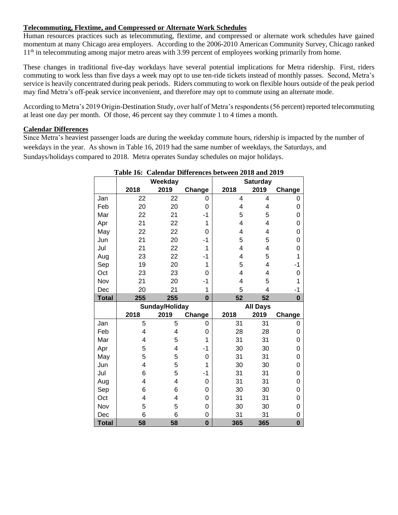## **Telecommuting, Flextime, and Compressed or Alternate Work Schedules**

Human resources practices such as telecommuting, flextime, and compressed or alternate work schedules have gained momentum at many Chicago area employers. According to the 2006-2010 American Community Survey, Chicago ranked 11<sup>th</sup> in telecommuting among major metro areas with 3.99 percent of employees working primarily from home.

These changes in traditional five-day workdays have several potential implications for Metra ridership. First, riders commuting to work less than five days a week may opt to use ten-ride tickets instead of monthly passes. Second, Metra's service is heavily concentrated during peak periods. Riders commuting to work on flexible hours outside of the peak period may find Metra's off-peak service inconvenient, and therefore may opt to commute using an alternate mode.

According to Metra's 2019 Origin-Destination Study, over half of Metra's respondents (56 percent) reported telecommuting at least one day per month. Of those, 46 percent say they commute 1 to 4 times a month.

## **Calendar Differences**

Since Metra's heaviest passenger loads are during the weekday commute hours, ridership is impacted by the number of weekdays in the year. As shown in Table 16, 2019 had the same number of weekdays, the Saturdays, and Sundays/holidays compared to 2018. Metra operates Sunday schedules on major holidays.

|              | Table 16: Calendar Differences between 2018 and 2019 |                |                  |      |                         |                     |
|--------------|------------------------------------------------------|----------------|------------------|------|-------------------------|---------------------|
|              |                                                      | Weekday        |                  |      | <b>Saturday</b>         |                     |
|              | 2018                                                 | 2019           | Change           | 2018 | 2019                    | Change              |
| Jan          | 22                                                   | 22             | 0                | 4    | 4                       | 0                   |
| Feb          | 20                                                   | 20             | 0                | 4    | 4                       | 0                   |
| Mar          | 22                                                   | 21             | -1               | 5    | 5                       | 0                   |
| Apr          | 21                                                   | 22             | 1                | 4    | 4                       | 0                   |
| May          | 22                                                   | 22             | 0                | 4    | 4                       | 0                   |
| Jun          | 21                                                   | 20             | -1               | 5    | 5                       | $\mathbf 0$         |
| Jul          | 21                                                   | 22             | 1                | 4    | 4                       | 0                   |
| Aug          | 23                                                   | 22             | -1               | 4    | 5                       | 1                   |
| Sep          | 19                                                   | 20             | 1                | 5    | $\overline{\mathbf{4}}$ | $-1$                |
| Oct          | 23                                                   | 23             | 0                | 4    | 4                       | 0                   |
| Nov          | 21                                                   | 20             | $-1$             | 4    | 5                       | 1                   |
| Dec          | 20                                                   | 21             | 1                | 5    | 4                       | -1                  |
| <b>Total</b> | 255                                                  | 255            | $\bf{0}$         | 52   | 52                      | $\bf{0}$            |
|              |                                                      |                |                  |      |                         |                     |
|              |                                                      | Sunday/Holiday |                  |      | <b>All Days</b>         |                     |
|              | 2018                                                 | 2019           | Change           | 2018 | 2019                    | Change              |
| Jan          | 5                                                    | 5              | 0                | 31   | 31                      | 0                   |
| Feb          | 4                                                    | 4              | 0                | 28   | 28                      | 0                   |
| Mar          | 4                                                    | 5              | 1                | 31   | 31                      | 0                   |
| Apr          | 5                                                    | 4              | -1               | 30   | 30                      | 0                   |
| May          | 5                                                    | 5              | 0                | 31   | 31                      | $\mathsf{O}\xspace$ |
| Jun          | 4                                                    | 5              | 1                | 30   | 30                      | 0                   |
| Jul          | 6                                                    | 5              | -1               | 31   | 31                      | 0                   |
| Aug          | 4                                                    | 4              | 0                | 31   | 31                      | 0                   |
| Sep          | 6                                                    | 6              | 0                | 30   | 30                      | 0                   |
| Oct          | 4                                                    | 4              | 0                | 31   | 31                      | 0                   |
| Nov          | 5                                                    | 5              | 0                | 30   | 30                      | 0                   |
| Dec          | 6<br>58                                              | 6<br>58        | 0<br>$\mathbf 0$ | 31   | 31                      | 0<br>$\mathbf 0$    |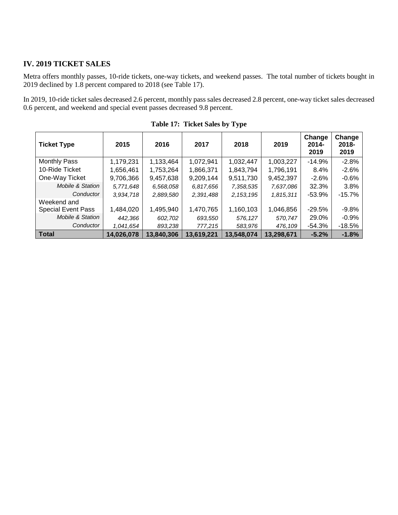## **IV. 2019 TICKET SALES**

Metra offers monthly passes, 10-ride tickets, one-way tickets, and weekend passes. The total number of tickets bought in 2019 declined by 1.8 percent compared to 2018 (see Table 17).

In 2019, 10-ride ticket sales decreased 2.6 percent, monthly pass sales decreased 2.8 percent, one-way ticket sales decreased 0.6 percent, and weekend and special event passes decreased 9.8 percent.

| <b>Ticket Type</b>          | 2015       | 2016       | 2017       | 2018        | 2019       | Change<br>$2014 -$<br>2019 | Change<br>$2018 -$<br>2019 |
|-----------------------------|------------|------------|------------|-------------|------------|----------------------------|----------------------------|
| <b>Monthly Pass</b>         | 1,179,231  | 1,133,464  | 1,072,941  | 1,032,447   | 1,003,227  | $-14.9%$                   | $-2.8%$                    |
| 10-Ride Ticket              | 1,656,461  | 1,753,264  | 1,866,371  | 1,843,794   | 1,796,191  | $8.4\%$                    | $-2.6%$                    |
| One-Way Ticket              | 9,706,366  | 9,457,638  | 9,209,144  | 9,511,730   | 9,452,397  | $-2.6%$                    | $-0.6%$                    |
| <b>Mobile &amp; Station</b> | 5,771,648  | 6,568,058  | 6.817,656  | 7,358,535   | 7,637,086  | 32.3%                      | 3.8%                       |
| Conductor                   | 3,934,718  | 2,889,580  | 2,391,488  | 2, 153, 195 | 1,815,311  | $-53.9%$                   | $-15.7%$                   |
| Weekend and                 |            |            |            |             |            |                            |                            |
| <b>Special Event Pass</b>   | 1,484,020  | 1,495,940  | 1,470,765  | 1,160,103   | 1,046,856  | $-29.5%$                   | $-9.8%$                    |
| Mobile & Station            | 442,366    | 602,702    | 693,550    | 576,127     | 570,747    | 29.0%                      | $-0.9%$                    |
| Conductor                   | 1,041,654  | 893,238    | 777,215    | 583,976     | 476,109    | $-54.3%$                   | $-18.5%$                   |
| Total                       | 14,026,078 | 13,840,306 | 13,619,221 | 13,548,074  | 13,298,671 | $-5.2%$                    | $-1.8%$                    |

**Table 17: Ticket Sales by Type**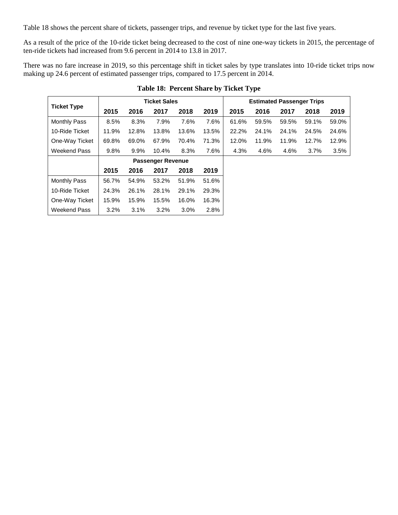Table 18 shows the percent share of tickets, passenger trips, and revenue by ticket type for the last five years.

As a result of the price of the 10-ride ticket being decreased to the cost of nine one-way tickets in 2015, the percentage of ten-ride tickets had increased from 9.6 percent in 2014 to 13.8 in 2017.

There was no fare increase in 2019, so this percentage shift in ticket sales by type translates into 10-ride ticket trips now making up 24.6 percent of estimated passenger trips, compared to 17.5 percent in 2014.

|                     |       |       | <b>Ticket Sales</b>      |       |       |       | <b>Estimated Passenger Trips</b> |       |       |       |
|---------------------|-------|-------|--------------------------|-------|-------|-------|----------------------------------|-------|-------|-------|
| <b>Ticket Type</b>  | 2015  | 2016  | 2017                     | 2018  | 2019  | 2015  | 2016                             | 2017  | 2018  | 2019  |
| <b>Monthly Pass</b> | 8.5%  | 8.3%  | 7.9%                     | 7.6%  | 7.6%  | 61.6% | 59.5%                            | 59.5% | 59.1% | 59.0% |
| 10-Ride Ticket      | 11.9% | 12.8% | 13.8%                    | 13.6% | 13.5% | 22.2% | 24.1%                            | 24.1% | 24.5% | 24.6% |
| One-Way Ticket      | 69.8% | 69.0% | 67.9%                    | 70.4% | 71.3% | 12.0% | 11.9%                            | 11.9% | 12.7% | 12.9% |
| <b>Weekend Pass</b> | 9.8%  | 9.9%  | 10.4%                    | 8.3%  | 7.6%  | 4.3%  | 4.6%                             | 4.6%  | 3.7%  | 3.5%  |
|                     |       |       | <b>Passenger Revenue</b> |       |       |       |                                  |       |       |       |
|                     | 2015  | 2016  | 2017                     | 2018  | 2019  |       |                                  |       |       |       |
| <b>Monthly Pass</b> | 56.7% | 54.9% | 53.2%                    | 51.9% | 51.6% |       |                                  |       |       |       |
| 10-Ride Ticket      | 24.3% | 26.1% | 28.1%                    | 29.1% | 29.3% |       |                                  |       |       |       |
| One-Way Ticket      | 15.9% | 15.9% | 15.5%                    | 16.0% | 16.3% |       |                                  |       |       |       |
| Weekend Pass        | 3.2%  | 3.1%  | 3.2%                     | 3.0%  | 2.8%  |       |                                  |       |       |       |

## **Table 18: Percent Share by Ticket Type**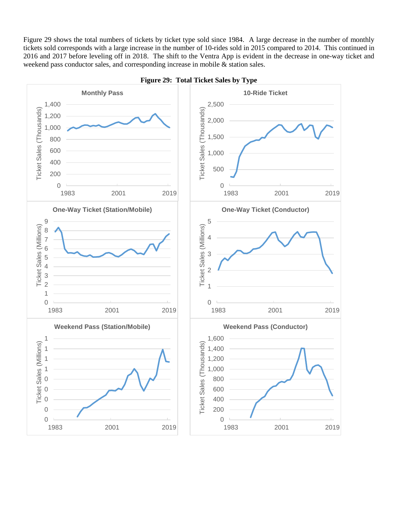Figure 29 shows the total numbers of tickets by ticket type sold since 1984. A large decrease in the number of monthly tickets sold corresponds with a large increase in the number of 10-rides sold in 2015 compared to 2014. This continued in and 2017 before leveling off in 2018. The shift to the Ventra App is evident in the decrease in one-way ticket and weekend pass conductor sales, and corresponding increase in mobile & station sales.



#### **Figure 29: Total Ticket Sales by Type**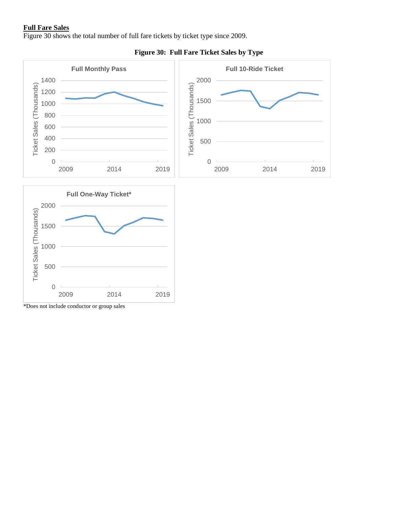## **Full Fare Sales**

Figure 30 shows the total number of full fare tickets by ticket type since 2009.



## **Figure 30: Full Fare Ticket Sales by Type**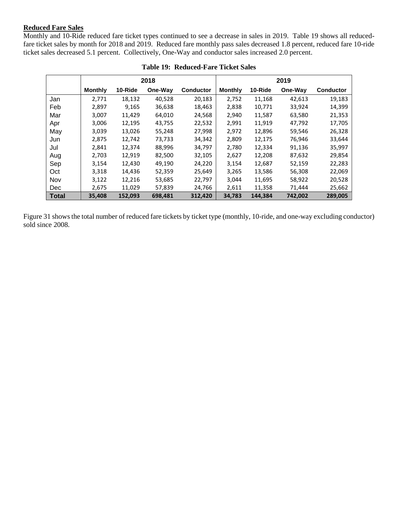## **Reduced Fare Sales**

Monthly and 10-Ride reduced fare ticket types continued to see a decrease in sales in 2019. Table 19 shows all reducedfare ticket sales by month for 2018 and 2019. Reduced fare monthly pass sales decreased 1.8 percent, reduced fare 10-ride ticket sales decreased 5.1 percent. Collectively, One-Way and conductor sales increased 2.0 percent.

|              |                |         | 2018    |                  |                |         | 2019    |                  |
|--------------|----------------|---------|---------|------------------|----------------|---------|---------|------------------|
|              | <b>Monthly</b> | 10-Ride | One-Way | <b>Conductor</b> | <b>Monthly</b> | 10-Ride | One-Way | <b>Conductor</b> |
| Jan          | 2.771          | 18,132  | 40,528  | 20,183           | 2,752          | 11,168  | 42,613  | 19,183           |
| Feb          | 2,897          | 9,165   | 36,638  | 18,463           | 2,838          | 10,771  | 33,924  | 14,399           |
| Mar          | 3,007          | 11,429  | 64,010  | 24,568           | 2,940          | 11,587  | 63,580  | 21,353           |
| Apr          | 3,006          | 12,195  | 43,755  | 22,532           | 2,991          | 11,919  | 47,792  | 17,705           |
| May          | 3,039          | 13,026  | 55,248  | 27,998           | 2,972          | 12,896  | 59,546  | 26,328           |
| Jun          | 2,875          | 12,742  | 73,733  | 34,342           | 2,809          | 12,175  | 76,946  | 33,644           |
| Jul          | 2,841          | 12,374  | 88,996  | 34,797           | 2,780          | 12,334  | 91,136  | 35,997           |
| Aug          | 2,703          | 12,919  | 82,500  | 32,105           | 2,627          | 12,208  | 87,632  | 29,854           |
| Sep          | 3,154          | 12,430  | 49,190  | 24,220           | 3,154          | 12,687  | 52,159  | 22,283           |
| Oct          | 3,318          | 14,436  | 52,359  | 25,649           | 3,265          | 13,586  | 56,308  | 22,069           |
| Nov          | 3,122          | 12,216  | 53,685  | 22,797           | 3,044          | 11,695  | 58,922  | 20,528           |
| Dec          | 2,675          | 11,029  | 57,839  | 24,766           | 2,611          | 11,358  | 71,444  | 25,662           |
| <b>Total</b> | 35,408         | 152.093 | 698.481 | 312,420          | 34,783         | 144.384 | 742.002 | 289.005          |

|  | <b>Table 19: Reduced-Fare Ticket Sales</b> |  |
|--|--------------------------------------------|--|
|--|--------------------------------------------|--|

Figure 31 shows the total number of reduced fare tickets by ticket type (monthly, 10-ride, and one-way excluding conductor) sold since 2008.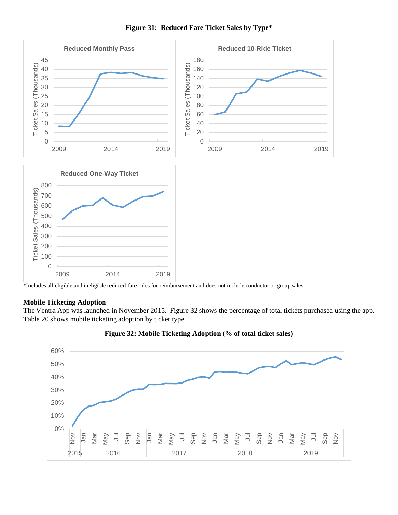

## **Figure 31: Reduced Fare Ticket Sales by Type\***

\*Includes all eligible and ineligible reduced-fare rides for reimbursement and does not include conductor or group sales

## **Mobile Ticketing Adoption**

The Ventra App was launched in November 2015. Figure 32 shows the percentage of total tickets purchased using the app. Table 20 shows mobile ticketing adoption by ticket type.



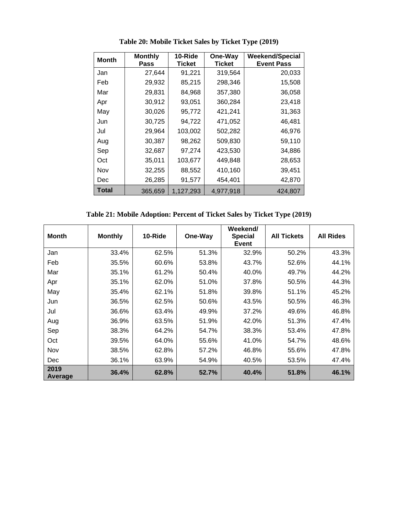| <b>Month</b> | <b>Monthly</b><br>Pass | 10-Ride<br><b>Ticket</b> | One-Way<br><b>Ticket</b> | <b>Weekend/Special</b><br><b>Event Pass</b> |
|--------------|------------------------|--------------------------|--------------------------|---------------------------------------------|
| Jan          | 27,644                 | 91,221                   | 319,564                  | 20,033                                      |
| Feb          | 29,932                 | 85,215                   | 298,346                  | 15,508                                      |
| Mar          | 29,831                 | 84,968                   | 357,380                  | 36,058                                      |
| Apr          | 30,912                 | 93,051                   | 360,284                  | 23,418                                      |
| May          | 30,026                 | 95,772                   | 421,241                  | 31,363                                      |
| Jun          | 30,725                 | 94,722                   | 471,052                  | 46,481                                      |
| Jul          | 29,964                 | 103,002                  | 502,282                  | 46,976                                      |
| Aug          | 30,387                 | 98,262                   | 509,830                  | 59,110                                      |
| Sep          | 32,687                 | 97,274                   | 423,530                  | 34,886                                      |
| Oct          | 35,011                 | 103,677                  | 449,848                  | 28,653                                      |
| Nov          | 32,255                 | 88,552                   | 410,160                  | 39,451                                      |
| Dec          | 26,285                 | 91,577                   | 454,401                  | 42,870                                      |
| Total        | 365,659                | 1,127,293                | 4,977,918                | 424,807                                     |

**Table 20: Mobile Ticket Sales by Ticket Type (2019)**

**Table 21: Mobile Adoption: Percent of Ticket Sales by Ticket Type (2019)**

| <b>Month</b>    | <b>Monthly</b> | 10-Ride | One-Way | Weekend/<br><b>Special</b><br><b>Event</b> | <b>All Tickets</b> | <b>All Rides</b> |
|-----------------|----------------|---------|---------|--------------------------------------------|--------------------|------------------|
| Jan             | 33.4%          | 62.5%   | 51.3%   | 32.9%                                      | 50.2%              | 43.3%            |
| Feb             | 35.5%          | 60.6%   | 53.8%   | 43.7%                                      | 52.6%              | 44.1%            |
| Mar             | 35.1%          | 61.2%   | 50.4%   | 40.0%                                      | 49.7%              | 44.2%            |
| Apr             | 35.1%          | 62.0%   | 51.0%   | 37.8%                                      | 50.5%              | 44.3%            |
| May             | 35.4%          | 62.1%   | 51.8%   | 39.8%                                      | 51.1%              | 45.2%            |
| Jun             | 36.5%          | 62.5%   | 50.6%   | 43.5%                                      | 50.5%              | 46.3%            |
| Jul             | 36.6%          | 63.4%   | 49.9%   | 37.2%                                      | 49.6%              | 46.8%            |
| Aug             | 36.9%          | 63.5%   | 51.9%   | 42.0%                                      | 51.3%              | 47.4%            |
| Sep             | 38.3%          | 64.2%   | 54.7%   | 38.3%                                      | 53.4%              | 47.8%            |
| Oct             | 39.5%          | 64.0%   | 55.6%   | 41.0%                                      | 54.7%              | 48.6%            |
| Nov             | 38.5%          | 62.8%   | 57.2%   | 46.8%                                      | 55.6%              | 47.8%            |
| Dec             | 36.1%          | 63.9%   | 54.9%   | 40.5%                                      | 53.5%              | 47.4%            |
| 2019<br>Average | 36.4%          | 62.8%   | 52.7%   | 40.4%                                      | 51.8%              | 46.1%            |